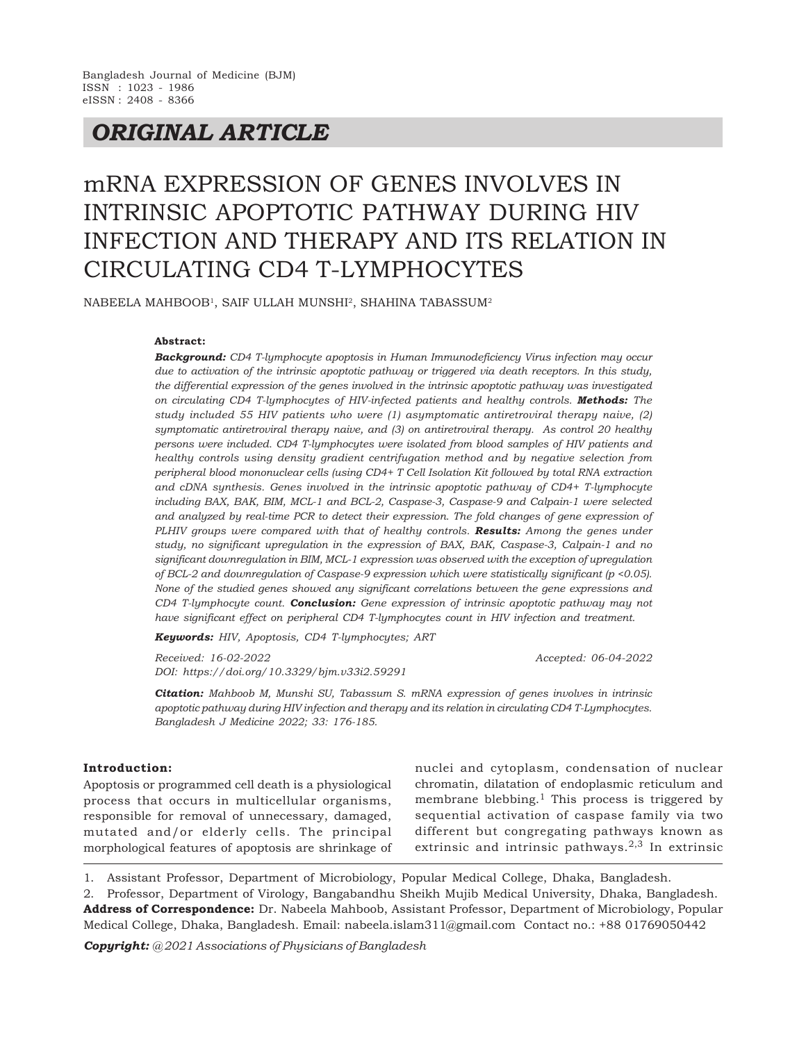## *ORIGINAL ARTICLE*

# mRNA EXPRESSION OF GENES INVOLVES IN INTRINSIC APOPTOTIC PATHWAY DURING HIV INFECTION AND THERAPY AND ITS RELATION IN CIRCULATING CD4 T-LYMPHOCYTES

<code>NABEELA</code> MAHBOOB<sup>1</sup>, SAIF ULLAH MUNSHI<sup>2</sup>, SHAHINA TABASSUM<sup>2</sup>

#### **Abstract:**

*Background: CD4 T-lymphocyte apoptosis in Human Immunodeficiency Virus infection may occur due to activation of the intrinsic apoptotic pathway or triggered via death receptors. In this study, the differential expression of the genes involved in the intrinsic apoptotic pathway was investigated on circulating CD4 T-lymphocytes of HIV-infected patients and healthy controls. Methods: The study included 55 HIV patients who were (1) asymptomatic antiretroviral therapy naive, (2) symptomatic antiretroviral therapy naive, and (3) on antiretroviral therapy. As control 20 healthy persons were included. CD4 T-lymphocytes were isolated from blood samples of HIV patients and healthy controls using density gradient centrifugation method and by negative selection from peripheral blood mononuclear cells (using CD4+ T Cell Isolation Kit followed by total RNA extraction and cDNA synthesis. Genes involved in the intrinsic apoptotic pathway of CD4+ T-lymphocyte including BAX, BAK, BIM, MCL-1 and BCL-2, Caspase-3, Caspase-9 and Calpain-1 were selected and analyzed by real-time PCR to detect their expression. The fold changes of gene expression of PLHIV groups were compared with that of healthy controls. Results: Among the genes under study, no significant upregulation in the expression of BAX, BAK, Caspase-3, Calpain-1 and no significant downregulation in BIM, MCL-1 expression was observed with the exception of upregulation of BCL-2 and downregulation of Caspase-9 expression which were statistically significant (p <0.05). None of the studied genes showed any significant correlations between the gene expressions and CD4 T-lymphocyte count. Conclusion: Gene expression of intrinsic apoptotic pathway may not have significant effect on peripheral CD4 T-lymphocytes count in HIV infection and treatment.*

*Keywords: HIV, Apoptosis, CD4 T-lymphocytes; ART*

*Received: 16-02-2022 Accepted: 06-04-2022 DOI: https://doi.org/10.3329/bjm.v33i2.59291*

*Citation: Mahboob M, Munshi SU, Tabassum S. mRNA expression of genes involves in intrinsic apoptotic pathway during HIV infection and therapy and its relation in circulating CD4 T-Lymphocytes. Bangladesh J Medicine 2022; 33: 176-185.*

#### **Introduction:**

Apoptosis or programmed cell death is a physiological process that occurs in multicellular organisms, responsible for removal of unnecessary, damaged, mutated and/or elderly cells. The principal morphological features of apoptosis are shrinkage of nuclei and cytoplasm, condensation of nuclear chromatin, dilatation of endoplasmic reticulum and membrane blebbing.<sup>1</sup> This process is triggered by sequential activation of caspase family via two different but congregating pathways known as extrinsic and intrinsic pathways.<sup>2,3</sup> In extrinsic

1. Assistant Professor, Department of Microbiology, Popular Medical College, Dhaka, Bangladesh.

2. Professor, Department of Virology, Bangabandhu Sheikh Mujib Medical University, Dhaka, Bangladesh. **Address of Correspondence:** Dr. Nabeela Mahboob, Assistant Professor, Department of Microbiology, Popular Medical College, Dhaka, Bangladesh. Email: nabeela.islam311@gmail.com Contact no.: +88 01769050442

*Copyright: @ 2021 Associations of Physicians of Bangladesh*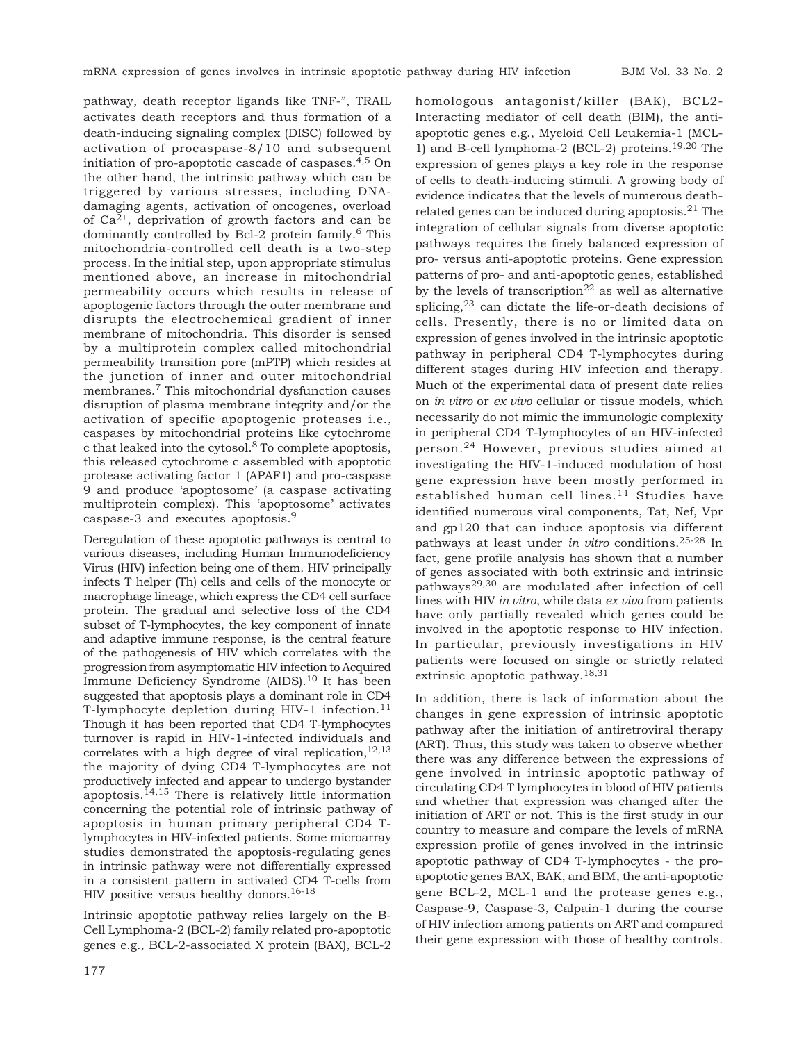pathway, death receptor ligands like TNF-", TRAIL activates death receptors and thus formation of a death-inducing signaling complex (DISC) followed by activation of procaspase-8/10 and subsequent initiation of pro-apoptotic cascade of caspases.4,5 On the other hand, the intrinsic pathway which can be triggered by various stresses, including DNAdamaging agents, activation of oncogenes, overload of  $Ca^{2+}$ , deprivation of growth factors and can be dominantly controlled by Bcl-2 protein family.6 This mitochondria-controlled cell death is a two-step process. In the initial step, upon appropriate stimulus mentioned above, an increase in mitochondrial permeability occurs which results in release of apoptogenic factors through the outer membrane and disrupts the electrochemical gradient of inner membrane of mitochondria. This disorder is sensed by a multiprotein complex called mitochondrial permeability transition pore (mPTP) which resides at the junction of inner and outer mitochondrial membranes.7 This mitochondrial dysfunction causes disruption of plasma membrane integrity and/or the activation of specific apoptogenic proteases i.e., caspases by mitochondrial proteins like cytochrome c that leaked into the cytosol. $8$  To complete apoptosis, this released cytochrome c assembled with apoptotic protease activating factor 1 (APAF1) and pro-caspase 9 and produce 'apoptosome' (a caspase activating multiprotein complex). This 'apoptosome' activates caspase-3 and executes apoptosis.<sup>9</sup>

Deregulation of these apoptotic pathways is central to various diseases, including Human Immunodeficiency Virus (HIV) infection being one of them. HIV principally infects T helper (Th) cells and cells of the monocyte or macrophage lineage, which express the CD4 cell surface protein. The gradual and selective loss of the CD4 subset of T-lymphocytes, the key component of innate and adaptive immune response, is the central feature of the pathogenesis of HIV which correlates with the progression from asymptomatic HIV infection to Acquired Immune Deficiency Syndrome (AIDS).<sup>10</sup> It has been suggested that apoptosis plays a dominant role in CD4 T-lymphocyte depletion during HIV-1 infection.<sup>11</sup> Though it has been reported that CD4 T-lymphocytes turnover is rapid in HIV-1-infected individuals and correlates with a high degree of viral replication, $12,13$ the majority of dying CD4 T-lymphocytes are not productively infected and appear to undergo bystander apoptosis.<sup>14,15</sup> There is relatively little information concerning the potential role of intrinsic pathway of apoptosis in human primary peripheral CD4 Tlymphocytes in HIV-infected patients. Some microarray studies demonstrated the apoptosis-regulating genes in intrinsic pathway were not differentially expressed in a consistent pattern in activated CD4 T-cells from HIV positive versus healthy donors.<sup>16-18</sup>

Intrinsic apoptotic pathway relies largely on the B-Cell Lymphoma-2 (BCL-2) family related pro-apoptotic genes e.g., BCL-2-associated X protein (BAX), BCL-2

homologous antagonist/killer (BAK), BCL2- Interacting mediator of cell death (BIM), the antiapoptotic genes e.g., Myeloid Cell Leukemia-1 (MCL-1) and B-cell lymphoma-2 (BCL-2) proteins.<sup>19,20</sup> The expression of genes plays a key role in the response of cells to death-inducing stimuli. A growing body of evidence indicates that the levels of numerous deathrelated genes can be induced during apoptosis.21 The integration of cellular signals from diverse apoptotic pathways requires the finely balanced expression of pro- versus anti-apoptotic proteins. Gene expression patterns of pro- and anti-apoptotic genes, established by the levels of transcription<sup>22</sup> as well as alternative splicing, $2^3$  can dictate the life-or-death decisions of cells. Presently, there is no or limited data on expression of genes involved in the intrinsic apoptotic pathway in peripheral CD4 T-lymphocytes during different stages during HIV infection and therapy. Much of the experimental data of present date relies on *in vitro* or *ex vivo* cellular or tissue models, which necessarily do not mimic the immunologic complexity in peripheral CD4 T-lymphocytes of an HIV-infected person.24 However, previous studies aimed at investigating the HIV-1-induced modulation of host gene expression have been mostly performed in established human cell lines.<sup>11</sup> Studies have identified numerous viral components, Tat, Nef, Vpr and gp120 that can induce apoptosis via different pathways at least under *in vitro* conditions.25-28 In fact, gene profile analysis has shown that a number of genes associated with both extrinsic and intrinsic pathways29,30 are modulated after infection of cell lines with HIV *in vitro*, while data *ex vivo* from patients have only partially revealed which genes could be involved in the apoptotic response to HIV infection. In particular, previously investigations in HIV patients were focused on single or strictly related extrinsic apoptotic pathway.18,31

In addition, there is lack of information about the changes in gene expression of intrinsic apoptotic pathway after the initiation of antiretroviral therapy (ART). Thus, this study was taken to observe whether there was any difference between the expressions of gene involved in intrinsic apoptotic pathway of circulating CD4 T lymphocytes in blood of HIV patients and whether that expression was changed after the initiation of ART or not. This is the first study in our country to measure and compare the levels of mRNA expression profile of genes involved in the intrinsic apoptotic pathway of CD4 T-lymphocytes - the proapoptotic genes BAX, BAK, and BIM, the anti-apoptotic gene BCL-2, MCL-1 and the protease genes e.g., Caspase-9, Caspase-3, Calpain-1 during the course of HIV infection among patients on ART and compared their gene expression with those of healthy controls.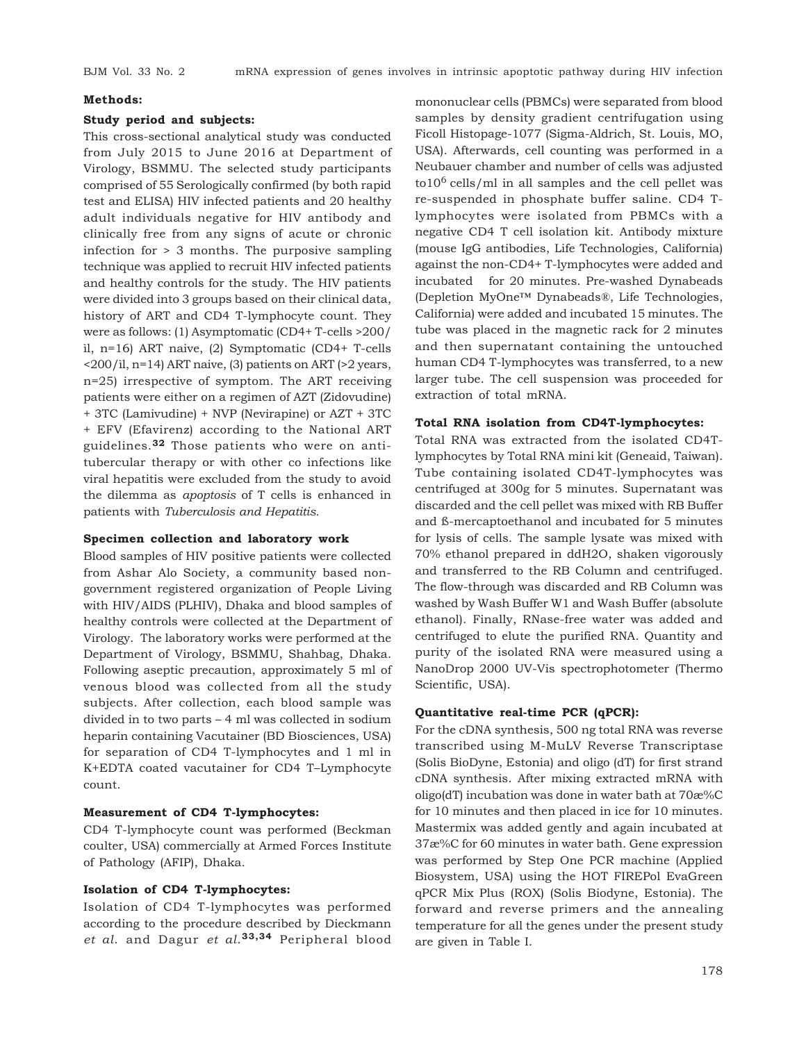#### **Methods:**

#### **Study period and subjects:**

This cross-sectional analytical study was conducted from July 2015 to June 2016 at Department of Virology, BSMMU. The selected study participants comprised of 55 Serologically confirmed (by both rapid test and ELISA) HIV infected patients and 20 healthy adult individuals negative for HIV antibody and clinically free from any signs of acute or chronic infection for > 3 months. The purposive sampling technique was applied to recruit HIV infected patients and healthy controls for the study. The HIV patients were divided into 3 groups based on their clinical data, history of ART and CD4 T-lymphocyte count. They were as follows: (1) Asymptomatic (CD4+ T-cells >200/ ìl, n=16) ART naive, (2) Symptomatic (CD4+ T-cells <200/ìl, n=14) ART naive, (3) patients on ART (>2 years, n=25) irrespective of symptom. The ART receiving patients were either on a regimen of AZT (Zidovudine) + 3TC (Lamivudine) + NVP (Nevirapine) or AZT + 3TC + EFV (Efavirenz) according to the National ART guidelines.**32** Those patients who were on antitubercular therapy or with other co infections like viral hepatitis were excluded from the study to avoid the dilemma as *apoptosis* of T cells is enhanced in patients with *Tuberculosis and Hepatitis.*

#### **Specimen collection and laboratory work**

Blood samples of HIV positive patients were collected from Ashar Alo Society, a community based nongovernment registered organization of People Living with HIV/AIDS (PLHIV), Dhaka and blood samples of healthy controls were collected at the Department of Virology. The laboratory works were performed at the Department of Virology, BSMMU, Shahbag, Dhaka. Following aseptic precaution, approximately 5 ml of venous blood was collected from all the study subjects. After collection, each blood sample was divided in to two parts – 4 ml was collected in sodium heparin containing Vacutainer (BD Biosciences, USA) for separation of CD4 T-lymphocytes and 1 ml in K+EDTA coated vacutainer for CD4 T–Lymphocyte count.

#### **Measurement of CD4 T-lymphocytes:**

CD4 T-lymphocyte count was performed (Beckman coulter, USA) commercially at Armed Forces Institute of Pathology (AFIP), Dhaka.

#### **Isolation of CD4 T-lymphocytes:**

Isolation of CD4 T-lymphocytes was performed according to the procedure described by Dieckmann *et al*. and Dagur *et al*. **33,34** Peripheral blood

mononuclear cells (PBMCs) were separated from blood samples by density gradient centrifugation using Ficoll Histopage-1077 (Sigma-Aldrich, St. Louis, MO, USA). Afterwards, cell counting was performed in a Neubauer chamber and number of cells was adjusted  $\frac{\text{tol0}^6 \text{ cells}}{\text{ml}}$  in all samples and the cell pellet was re-suspended in phosphate buffer saline. CD4 Tlymphocytes were isolated from PBMCs with a negative CD4 T cell isolation kit. Antibody mixture (mouse IgG antibodies, Life Technologies, California) against the non-CD4+ T-lymphocytes were added and incubated for 20 minutes. Pre-washed Dynabeads (Depletion MyOne™ Dynabeads®, Life Technologies, California) were added and incubated 15 minutes. The tube was placed in the magnetic rack for 2 minutes and then supernatant containing the untouched human CD4 T-lymphocytes was transferred, to a new larger tube. The cell suspension was proceeded for extraction of total mRNA.

#### **Total RNA isolation from CD4T-lymphocytes:**

Total RNA was extracted from the isolated CD4Tlymphocytes by Total RNA mini kit (Geneaid, Taiwan). Tube containing isolated CD4T-lymphocytes was centrifuged at 300g for 5 minutes. Supernatant was discarded and the cell pellet was mixed with RB Buffer and ß-mercaptoethanol and incubated for 5 minutes for lysis of cells. The sample lysate was mixed with 70% ethanol prepared in ddH2O, shaken vigorously and transferred to the RB Column and centrifuged. The flow-through was discarded and RB Column was washed by Wash Buffer W1 and Wash Buffer (absolute ethanol). Finally, RNase-free water was added and centrifuged to elute the purified RNA. Quantity and purity of the isolated RNA were measured using a NanoDrop 2000 UV-Vis spectrophotometer (Thermo Scientific, USA).

#### **Quantitative real-time PCR (qPCR):**

For the cDNA synthesis, 500 ng total RNA was reverse transcribed using M-MuLV Reverse Transcriptase (Solis BioDyne, Estonia) and oligo (dT) for first strand cDNA synthesis. After mixing extracted mRNA with oligo(dT) incubation was done in water bath at 70æ%C for 10 minutes and then placed in ice for 10 minutes. Mastermix was added gently and again incubated at 37æ%C for 60 minutes in water bath. Gene expression was performed by Step One PCR machine (Applied Biosystem, USA) using the HOT FIREPol EvaGreen qPCR Mix Plus (ROX) (Solis Biodyne, Estonia). The forward and reverse primers and the annealing temperature for all the genes under the present study are given in Table I.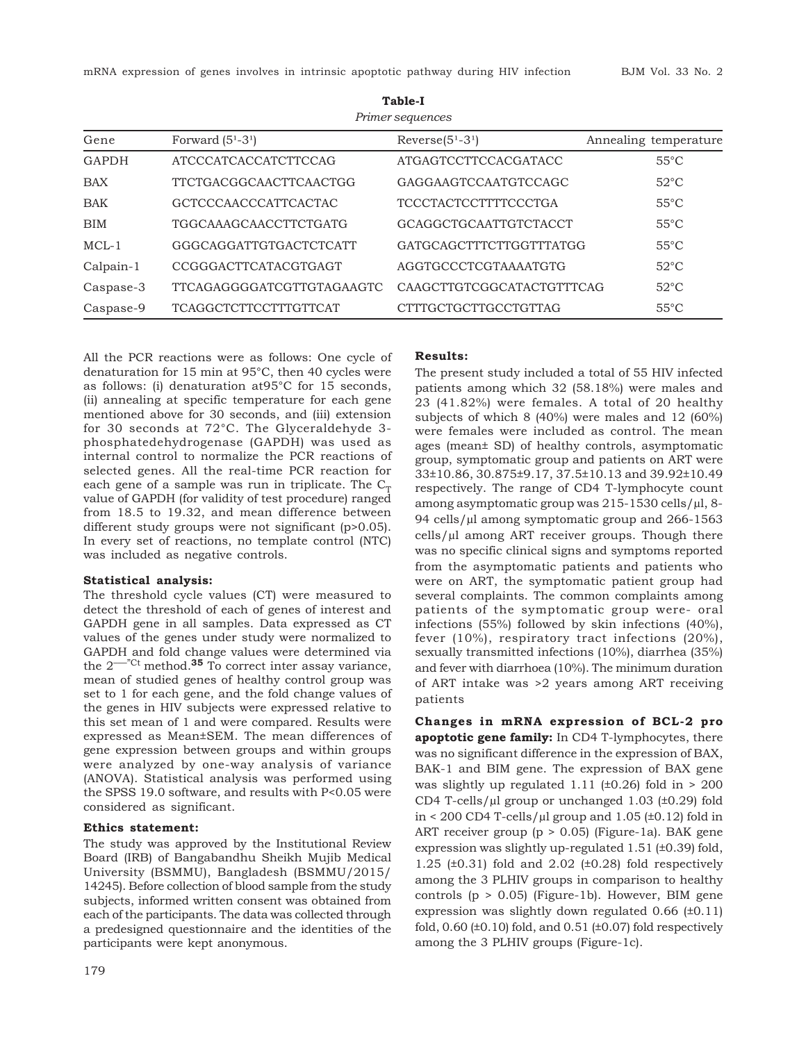| Forward $(51-31)$             | $Reverse(51-31)$            | Annealing temperature |
|-------------------------------|-----------------------------|-----------------------|
| <b>ATCCCATCACCATCTTCCAG</b>   | <b>ATGAGTCCTTCCACGATACC</b> | $55^{\circ}$ C        |
| <b>TTCTGACGGCAACTTCAACTGG</b> | GAGGAAGTCCAATGTCCAGC        | $52^{\circ}$ C        |
| <b>GCTCCCAACCCATTCACTAC</b>   | <b>TCCCTACTCCTTTTCCCTGA</b> | $55^{\circ}$ C        |
| TGGCAAAGCAACCTTCTGATG         | GCAGGCTGCAATTGTCTACCT       | $55^{\circ}$ C        |
| GGGCAGGATTGTGACTCTCATT        | GATGCAGCTTTCTTGGTTTATGG     | $55^{\circ}$ C        |
| CCGGGACTTCATACGTGAGT          | AGGTGCCCTCGTAAAATGTG        | $52^{\circ}$ C        |
| TTCAGAGGGGATCGTTGTAGAAGTC     | CAAGCTTGTCGGCATACTGTTTCAG   | $52^{\circ}$ C        |
| <b>TCAGGCTCTTCCTTTGTTCAT</b>  | CTTTGCTGCTTGCCTGTTAG        | $55^{\circ}$ C        |
|                               |                             |                       |

**Table-I** *Primer sequences*

All the PCR reactions were as follows: One cycle of denaturation for 15 min at 95°C, then 40 cycles were as follows: (i) denaturation at95°C for 15 seconds, (ii) annealing at specific temperature for each gene mentioned above for 30 seconds, and (iii) extension for 30 seconds at 72°C. The Glyceraldehyde 3 phosphatedehydrogenase (GAPDH) was used as internal control to normalize the PCR reactions of selected genes. All the real-time PCR reaction for each gene of a sample was run in triplicate. The  $C_T$ value of GAPDH (for validity of test procedure) ranged from 18.5 to 19.32, and mean difference between different study groups were not significant (p>0.05). In every set of reactions, no template control (NTC) was included as negative controls.

#### **Statistical analysis:**

The threshold cycle values (CT) were measured to detect the threshold of each of genes of interest and GAPDH gene in all samples. Data expressed as CT values of the genes under study were normalized to GAPDH and fold change values were determined via the  $2^{--}$ <sup> $\text{ct}$ </sup> method.<sup>35</sup> To correct inter assay variance, mean of studied genes of healthy control group was set to 1 for each gene, and the fold change values of the genes in HIV subjects were expressed relative to this set mean of 1 and were compared. Results were expressed as Mean±SEM. The mean differences of gene expression between groups and within groups were analyzed by one-way analysis of variance (ANOVA). Statistical analysis was performed using the SPSS 19.0 software, and results with P<0.05 were considered as significant.

#### **Ethics statement:**

The study was approved by the Institutional Review Board (IRB) of Bangabandhu Sheikh Mujib Medical University (BSMMU), Bangladesh (BSMMU/2015/ 14245). Before collection of blood sample from the study subjects, informed written consent was obtained from each of the participants. The data was collected through a predesigned questionnaire and the identities of the participants were kept anonymous.

#### **Results:**

The present study included a total of 55 HIV infected patients among which 32 (58.18%) were males and 23 (41.82%) were females. A total of 20 healthy subjects of which 8 (40%) were males and 12 (60%) were females were included as control. The mean ages (mean± SD) of healthy controls, asymptomatic group, symptomatic group and patients on ART were 33±10.86, 30.875±9.17, 37.5±10.13 and 39.92±10.49 respectively. The range of CD4 T-lymphocyte count among asymptomatic group was 215-1530 cells/µl, 8- 94 cells/µl among symptomatic group and 266-1563 cells/µl among ART receiver groups. Though there was no specific clinical signs and symptoms reported from the asymptomatic patients and patients who were on ART, the symptomatic patient group had several complaints. The common complaints among patients of the symptomatic group were- oral infections (55%) followed by skin infections (40%), fever (10%), respiratory tract infections (20%), sexually transmitted infections (10%), diarrhea (35%) and fever with diarrhoea (10%). The minimum duration of ART intake was >2 years among ART receiving patients

**Changes in mRNA expression of BCL-2 pro apoptotic gene family:** In CD4 T-lymphocytes, there was no significant difference in the expression of BAX, BAK-1 and BIM gene. The expression of BAX gene was slightly up regulated 1.11 ( $\pm$ 0.26) fold in  $>$  200 CD4 T-cells/µl group or unchanged 1.03 (±0.29) fold in < 200 CD4 T-cells/ $\mu$ l group and 1.05 (±0.12) fold in ART receiver group (p > 0.05) (Figure-1a). BAK gene expression was slightly up-regulated 1.51 (±0.39) fold, 1.25 ( $\pm$ 0.31) fold and 2.02 ( $\pm$ 0.28) fold respectively among the 3 PLHIV groups in comparison to healthy controls (p > 0.05) (Figure-1b). However, BIM gene expression was slightly down regulated 0.66 (±0.11) fold,  $0.60$  ( $\pm 0.10$ ) fold, and  $0.51$  ( $\pm 0.07$ ) fold respectively among the 3 PLHIV groups (Figure-1c).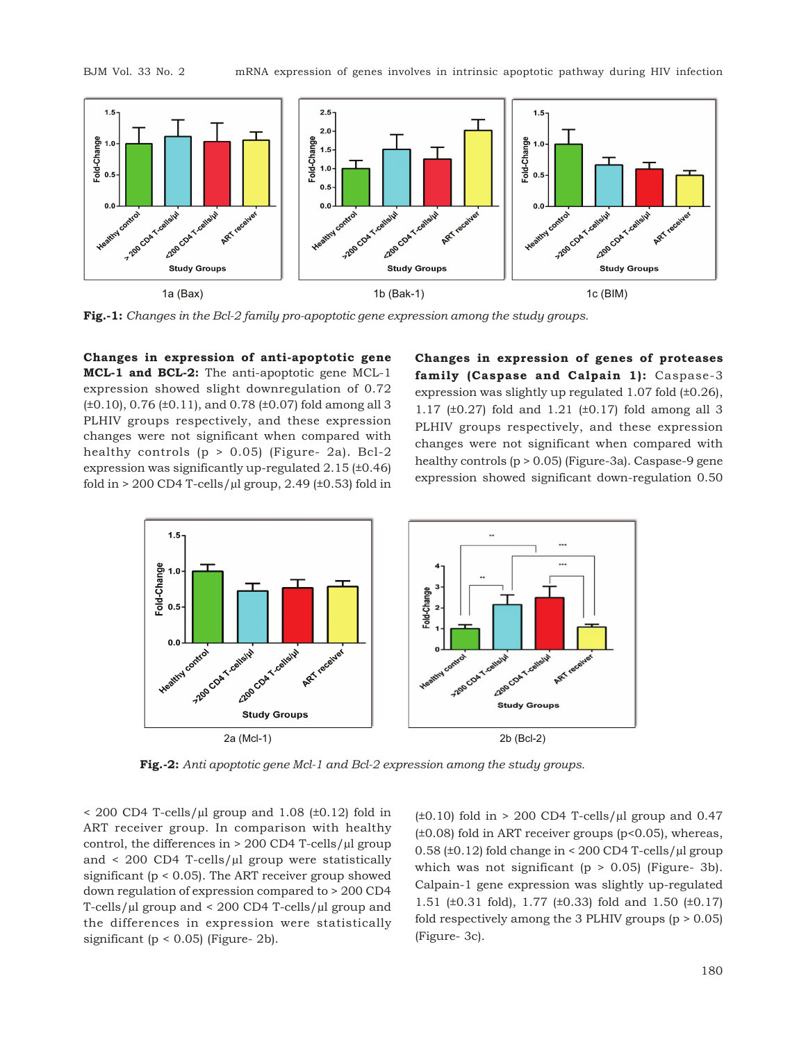

**Fig.-1:** *Changes in the Bcl-2 family pro-apoptotic gene expression among the study groups.*

**Changes in expression of anti-apoptotic gene MCL-1 and BCL-2:** The anti-apoptotic gene MCL-1 expression showed slight downregulation of 0.72 (±0.10), 0.76 (±0.11), and 0.78 (±0.07) fold among all 3 PLHIV groups respectively, and these expression changes were not significant when compared with healthy controls (p > 0.05) (Figure- 2a). Bcl-2 expression was significantly up-regulated 2.15 (±0.46) fold in  $> 200$  CD4 T-cells/ $\mu$ l group, 2.49 (±0.53) fold in **Changes in expression of genes of proteases family (Caspase and Calpain 1):** Caspase-3 expression was slightly up regulated 1.07 fold (±0.26), 1.17 (±0.27) fold and 1.21 (±0.17) fold among all 3 PLHIV groups respectively, and these expression changes were not significant when compared with healthy controls (p > 0.05) (Figure-3a). Caspase-9 gene expression showed significant down-regulation 0.50



**Fig.-2:** *Anti apoptotic gene Mcl-1 and Bcl-2 expression among the study groups.*

 $<$  200 CD4 T-cells/ $\mu$ l group and 1.08 ( $\pm$ 0.12) fold in ART receiver group. In comparison with healthy control, the differences in  $> 200$  CD4 T-cells/ $\mu$ l group and  $\langle 200 \text{ CD4}$  T-cells/ $\mu$ l group were statistically significant (p < 0.05). The ART receiver group showed down regulation of expression compared to > 200 CD4 T-cells/µl group and < 200 CD4 T-cells/µl group and the differences in expression were statistically significant ( $p < 0.05$ ) (Figure- 2b).

 $(\pm 0.10)$  fold in > 200 CD4 T-cells/ $\mu$ l group and 0.47  $(\pm 0.08)$  fold in ART receiver groups (p<0.05), whereas, 0.58 ( $\pm$ 0.12) fold change in < 200 CD4 T-cells/ $\mu$ l group which was not significant ( $p > 0.05$ ) (Figure- 3b). Calpain-1 gene expression was slightly up-regulated 1.51 (±0.31 fold), 1.77 (±0.33) fold and 1.50 (±0.17) fold respectively among the 3 PLHIV groups  $(p > 0.05)$ (Figure- 3c).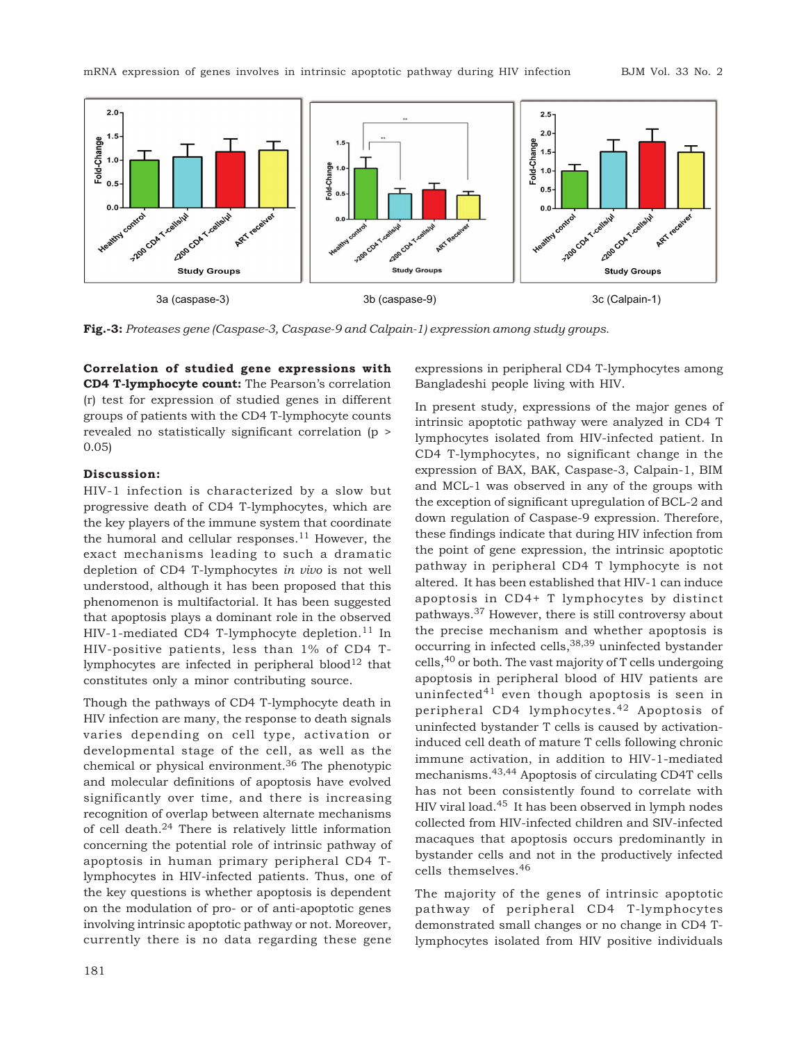

**Fig.-3:** *Proteases gene (Caspase-3, Caspase-9 and Calpain-1) expression among study groups.*

**Correlation of studied gene expressions with CD4 T-lymphocyte count:** The Pearson's correlation (r) test for expression of studied genes in different groups of patients with the CD4 T-lymphocyte counts revealed no statistically significant correlation (p > 0.05)

#### **Discussion:**

HIV-1 infection is characterized by a slow but progressive death of CD4 T-lymphocytes, which are the key players of the immune system that coordinate the humoral and cellular responses.<sup>11</sup> However, the exact mechanisms leading to such a dramatic depletion of CD4 T-lymphocytes *in vivo* is not well understood, although it has been proposed that this phenomenon is multifactorial. It has been suggested that apoptosis plays a dominant role in the observed HIV-1-mediated CD4 T-lymphocyte depletion.<sup>11</sup> In HIV-positive patients, less than 1% of CD4 Tlymphocytes are infected in peripheral blood $12$  that constitutes only a minor contributing source.

Though the pathways of CD4 T-lymphocyte death in HIV infection are many, the response to death signals varies depending on cell type, activation or developmental stage of the cell, as well as the chemical or physical environment.36 The phenotypic and molecular definitions of apoptosis have evolved significantly over time, and there is increasing recognition of overlap between alternate mechanisms of cell death.24 There is relatively little information concerning the potential role of intrinsic pathway of apoptosis in human primary peripheral CD4 Tlymphocytes in HIV-infected patients. Thus, one of the key questions is whether apoptosis is dependent on the modulation of pro- or of anti-apoptotic genes involving intrinsic apoptotic pathway or not. Moreover, currently there is no data regarding these gene

expressions in peripheral CD4 T-lymphocytes among Bangladeshi people living with HIV.

In present study, expressions of the major genes of intrinsic apoptotic pathway were analyzed in CD4 T lymphocytes isolated from HIV-infected patient. In CD4 T-lymphocytes, no significant change in the expression of BAX, BAK, Caspase-3, Calpain-1, BIM and MCL-1 was observed in any of the groups with the exception of significant upregulation of BCL-2 and down regulation of Caspase-9 expression. Therefore, these findings indicate that during HIV infection from the point of gene expression, the intrinsic apoptotic pathway in peripheral CD4 T lymphocyte is not altered. It has been established that HIV-1 can induce apoptosis in CD4+ T lymphocytes by distinct pathways.37 However, there is still controversy about the precise mechanism and whether apoptosis is occurring in infected cells,38,39 uninfected bystander cells,40 or both. The vast majority of T cells undergoing apoptosis in peripheral blood of HIV patients are uninfected $41$  even though apoptosis is seen in peripheral CD4 lymphocytes.42 Apoptosis of uninfected bystander T cells is caused by activationinduced cell death of mature T cells following chronic immune activation, in addition to HIV-1-mediated mechanisms.43,44 Apoptosis of circulating CD4T cells has not been consistently found to correlate with HIV viral load.45 It has been observed in lymph nodes collected from HIV-infected children and SIV-infected macaques that apoptosis occurs predominantly in bystander cells and not in the productively infected cells themselves.<sup>46</sup>

The majority of the genes of intrinsic apoptotic pathway of peripheral CD4 T-lymphocytes demonstrated small changes or no change in CD4 Tlymphocytes isolated from HIV positive individuals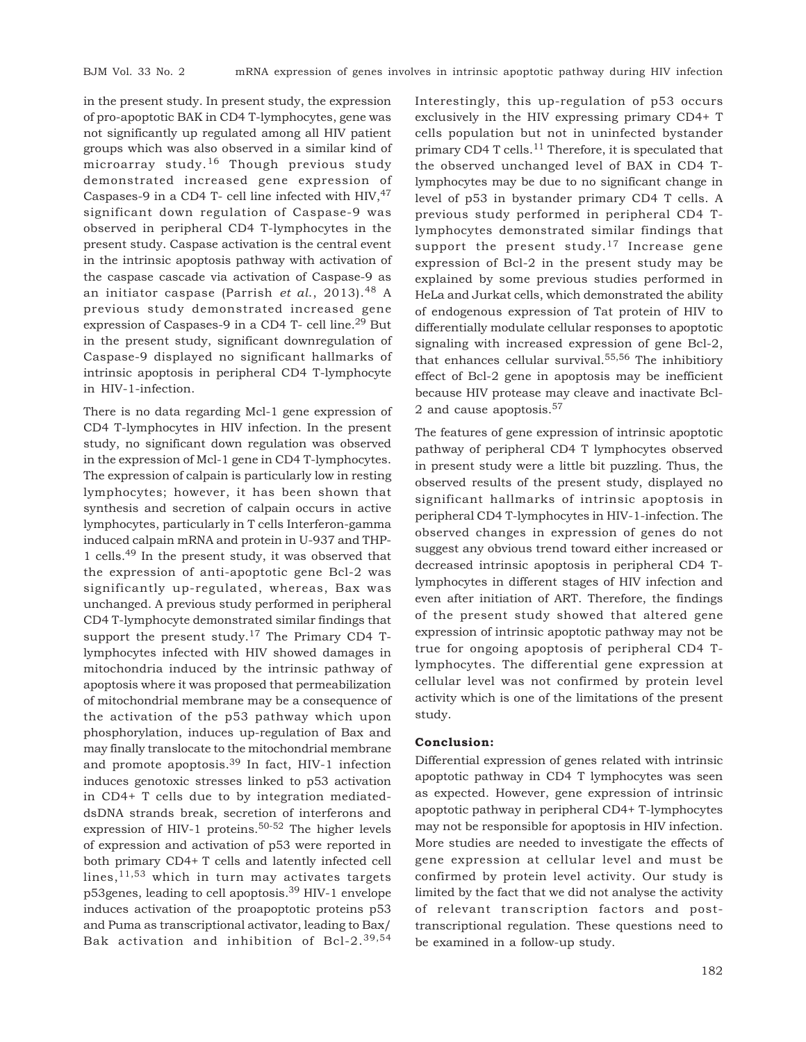in the present study. In present study, the expression of pro-apoptotic BAK in CD4 T-lymphocytes, gene was not significantly up regulated among all HIV patient groups which was also observed in a similar kind of microarray study.16 Though previous study demonstrated increased gene expression of Caspases-9 in a CD4 T- cell line infected with  $HIV,47$ significant down regulation of Caspase-9 was observed in peripheral CD4 T-lymphocytes in the present study. Caspase activation is the central event in the intrinsic apoptosis pathway with activation of the caspase cascade via activation of Caspase-9 as an initiator caspase (Parrish *et al*., 2013).48 A previous study demonstrated increased gene expression of Caspases-9 in a CD4 T- cell line.<sup>29</sup> But in the present study, significant downregulation of Caspase-9 displayed no significant hallmarks of intrinsic apoptosis in peripheral CD4 T-lymphocyte in HIV-1-infection.

There is no data regarding Mcl-1 gene expression of CD4 T-lymphocytes in HIV infection. In the present study, no significant down regulation was observed in the expression of Mcl-1 gene in CD4 T-lymphocytes. The expression of calpain is particularly low in resting lymphocytes; however, it has been shown that synthesis and secretion of calpain occurs in active lymphocytes, particularly in T cells Interferon-gamma induced calpain mRNA and protein in U-937 and THP-1 cells.49 In the present study, it was observed that the expression of anti-apoptotic gene Bcl-2 was significantly up-regulated, whereas, Bax was unchanged. A previous study performed in peripheral CD4 T-lymphocyte demonstrated similar findings that support the present study.<sup>17</sup> The Primary CD4 Tlymphocytes infected with HIV showed damages in mitochondria induced by the intrinsic pathway of apoptosis where it was proposed that permeabilization of mitochondrial membrane may be a consequence of the activation of the p53 pathway which upon phosphorylation, induces up-regulation of Bax and may finally translocate to the mitochondrial membrane and promote apoptosis.39 In fact, HIV-1 infection induces genotoxic stresses linked to p53 activation in CD4+ T cells due to by integration mediateddsDNA strands break, secretion of interferons and expression of HIV-1 proteins.<sup>50-52</sup> The higher levels of expression and activation of p53 were reported in both primary CD4+ T cells and latently infected cell lines,  $11,53$  which in turn may activates targets p53genes, leading to cell apoptosis.39 HIV-1 envelope induces activation of the proapoptotic proteins p53 and Puma as transcriptional activator, leading to Bax/ Bak activation and inhibition of Bcl-2.39,54

Interestingly, this up-regulation of p53 occurs exclusively in the HIV expressing primary CD4+ T cells population but not in uninfected bystander primary CD4 T cells.<sup>11</sup> Therefore, it is speculated that the observed unchanged level of BAX in CD4 Tlymphocytes may be due to no significant change in level of p53 in bystander primary CD4 T cells. A previous study performed in peripheral CD4 Tlymphocytes demonstrated similar findings that support the present study.<sup>17</sup> Increase gene expression of Bcl-2 in the present study may be explained by some previous studies performed in HeLa and Jurkat cells, which demonstrated the ability of endogenous expression of Tat protein of HIV to differentially modulate cellular responses to apoptotic signaling with increased expression of gene Bcl-2, that enhances cellular survival.55,56 The inhibitiory effect of Bcl-2 gene in apoptosis may be inefficient because HIV protease may cleave and inactivate Bcl-2 and cause apoptosis.<sup>57</sup>

The features of gene expression of intrinsic apoptotic pathway of peripheral CD4 T lymphocytes observed in present study were a little bit puzzling. Thus, the observed results of the present study, displayed no significant hallmarks of intrinsic apoptosis in peripheral CD4 T-lymphocytes in HIV-1-infection. The observed changes in expression of genes do not suggest any obvious trend toward either increased or decreased intrinsic apoptosis in peripheral CD4 Tlymphocytes in different stages of HIV infection and even after initiation of ART. Therefore, the findings of the present study showed that altered gene expression of intrinsic apoptotic pathway may not be true for ongoing apoptosis of peripheral CD4 Tlymphocytes. The differential gene expression at cellular level was not confirmed by protein level activity which is one of the limitations of the present study.

#### **Conclusion:**

Differential expression of genes related with intrinsic apoptotic pathway in CD4 T lymphocytes was seen as expected. However, gene expression of intrinsic apoptotic pathway in peripheral CD4+ T-lymphocytes may not be responsible for apoptosis in HIV infection. More studies are needed to investigate the effects of gene expression at cellular level and must be confirmed by protein level activity. Our study is limited by the fact that we did not analyse the activity of relevant transcription factors and posttranscriptional regulation. These questions need to be examined in a follow-up study.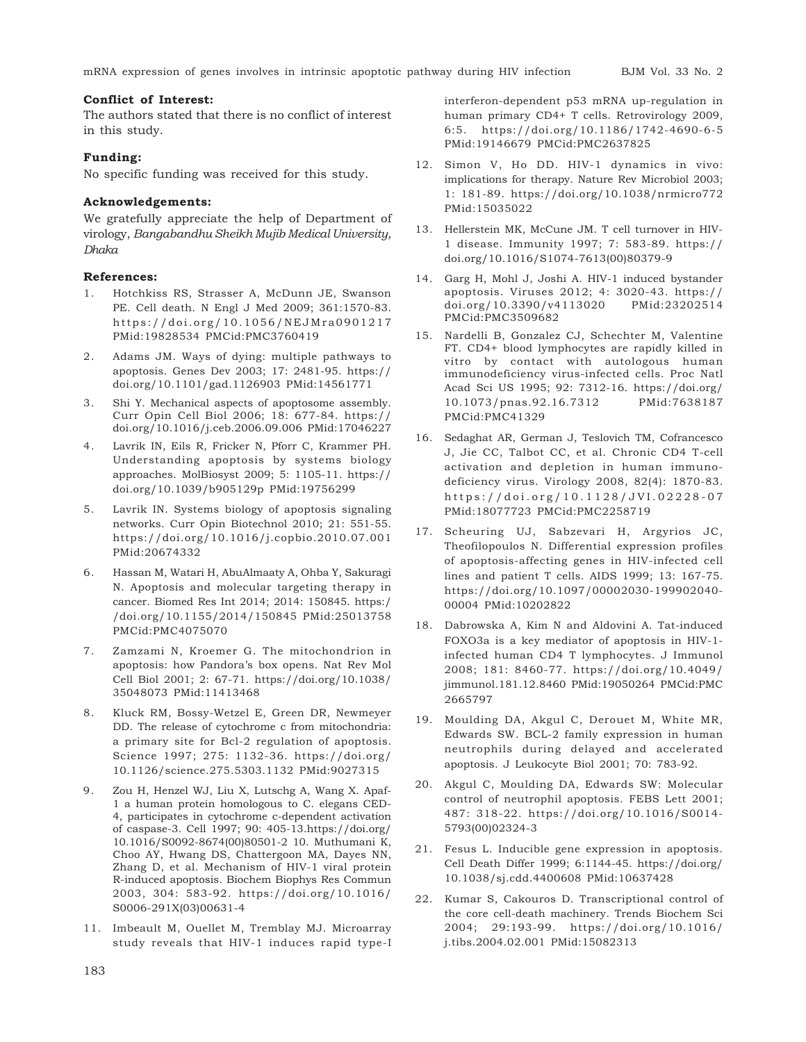#### **Conflict of Interest:**

The authors stated that there is no conflict of interest in this study.

### **Funding:**

No specific funding was received for this study.

#### **Acknowledgements:**

We gratefully appreciate the help of Department of virology, *Bangabandhu Sheikh Mujib Medical University, Dhaka*

#### **References:**

- 1. Hotchkiss RS, Strasser A, McDunn JE, Swanson PE. Cell death. N Engl J Med 2009; 361:1570-83. https://doi.org/10.1056/NEJMra0901217 PMid:19828534 PMCid:PMC3760419
- 2. Adams JM. Ways of dying: multiple pathways to apoptosis. Genes Dev 2003; 17: 2481-95. https:// doi.org/10.1101/gad.1126903 PMid:14561771
- 3. Shi Y. Mechanical aspects of apoptosome assembly. Curr Opin Cell Biol 2006; 18: 677-84. https:// doi.org/10.1016/j.ceb.2006.09.006 PMid:17046227
- 4. Lavrik IN, Eils R, Fricker N, Pforr C, Krammer PH. Understanding apoptosis by systems biology approaches. MolBiosyst 2009; 5: 1105-11. https:// doi.org/10.1039/b905129p PMid:19756299
- 5. Lavrik IN. Systems biology of apoptosis signaling networks. Curr Opin Biotechnol 2010; 21: 551-55. https://doi.org/10.1016/j.copbio.2010.07.001 PMid:20674332
- 6. Hassan M, Watari H, AbuAlmaaty A, Ohba Y, Sakuragi N. Apoptosis and molecular targeting therapy in cancer. Biomed Res Int 2014; 2014: 150845. https:/ /doi.org/10.1155/2014/150845 PMid:25013758 PMCid:PMC4075070
- 7. Zamzami N, Kroemer G. The mitochondrion in apoptosis: how Pandora's box opens. Nat Rev Mol Cell Biol 2001; 2: 67-71. https://doi.org/10.1038/ 35048073 PMid:11413468
- 8. Kluck RM, Bossy-Wetzel E, Green DR, Newmeyer DD. The release of cytochrome c from mitochondria: a primary site for Bcl-2 regulation of apoptosis. Science 1997; 275: 1132-36. https://doi.org/ 10.1126/science.275.5303.1132 PMid:9027315
- 9. Zou H, Henzel WJ, Liu X, Lutschg A, Wang X. Apaf-1 a human protein homologous to C. elegans CED-4, participates in cytochrome c-dependent activation of caspase-3. Cell 1997; 90: 405-13.https://doi.org/ 10.1016/S0092-8674(00)80501-2 10. Muthumani K, Choo AY, Hwang DS, Chattergoon MA, Dayes NN, Zhang D, et al. Mechanism of HIV-1 viral protein R-induced apoptosis. Biochem Biophys Res Commun 2003, 304: 583-92. https://doi.org/10.1016/ S0006-291X(03)00631-4
- 11. Imbeault M, Ouellet M, Tremblay MJ. Microarray study reveals that HIV-1 induces rapid type-I

interferon-dependent p53 mRNA up-regulation in human primary CD4+ T cells. Retrovirology 2009, 6:5. https://doi.org/10.1186/1742-4690-6-5 PMid:19146679 PMCid:PMC2637825

- 12. Simon V, Ho DD. HIV-1 dynamics in vivo: implications for therapy. Nature Rev Microbiol 2003; 1: 181-89. https://doi.org/10.1038/nrmicro772 PMid:15035022
- 13. Hellerstein MK, McCune JM. T cell turnover in HIV-1 disease. Immunity 1997; 7: 583-89. https:// doi.org/10.1016/S1074-7613(00)80379-9
- 14. Garg H, Mohl J, Joshi A. HIV-1 induced bystander apoptosis. Viruses 2012; 4: 3020-43. https:// doi.org/10.3390/v4113020 PMid:23202514 PMCid:PMC3509682
- 15. Nardelli B, Gonzalez CJ, Schechter M, Valentine FT. CD4+ blood lymphocytes are rapidly killed in vitro by contact with autologous human immunodeficiency virus-infected cells. Proc Natl Acad Sci US 1995; 92: 7312-16. https://doi.org/ 10.1073/pnas.92.16.7312 PMid:7638187 PMCid:PMC41329
- 16. Sedaghat AR, German J, Teslovich TM, Cofrancesco J, Jie CC, Talbot CC, et al. Chronic CD4 T-cell activation and depletion in human immunodeficiency virus. Virology 2008, 82(4): 1870-83. https://doi.org/10.1128/JVI.02228-07 PMid:18077723 PMCid:PMC2258719
- 17. Scheuring UJ, Sabzevari H, Argyrios JC, Theofilopoulos N. Differential expression profiles of apoptosis-affecting genes in HIV-infected cell lines and patient T cells. AIDS 1999; 13: 167-75. https://doi.org/10.1097/00002030-199902040- 00004 PMid:10202822
- 18. Dabrowska A, Kim N and Aldovini A. Tat-induced FOXO3a is a key mediator of apoptosis in HIV-1 infected human CD4 T lymphocytes. J Immunol 2008; 181: 8460-77. https://doi.org/10.4049/ jimmunol.181.12.8460 PMid:19050264 PMCid:PMC 2665797
- 19. Moulding DA, Akgul C, Derouet M, White MR, Edwards SW. BCL-2 family expression in human neutrophils during delayed and accelerated apoptosis. J Leukocyte Biol 2001; 70: 783-92.
- 20. Akgul C, Moulding DA, Edwards SW: Molecular control of neutrophil apoptosis. FEBS Lett 2001; 487: 318-22. https://doi.org/10.1016/S0014- 5793(00)02324-3
- 21. Fesus L. Inducible gene expression in apoptosis. Cell Death Differ 1999; 6:1144-45. https://doi.org/ 10.1038/sj.cdd.4400608 PMid:10637428
- 22. Kumar S, Cakouros D. Transcriptional control of the core cell-death machinery. Trends Biochem Sci 2004; 29:193-99. https://doi.org/10.1016/ j.tibs.2004.02.001 PMid:15082313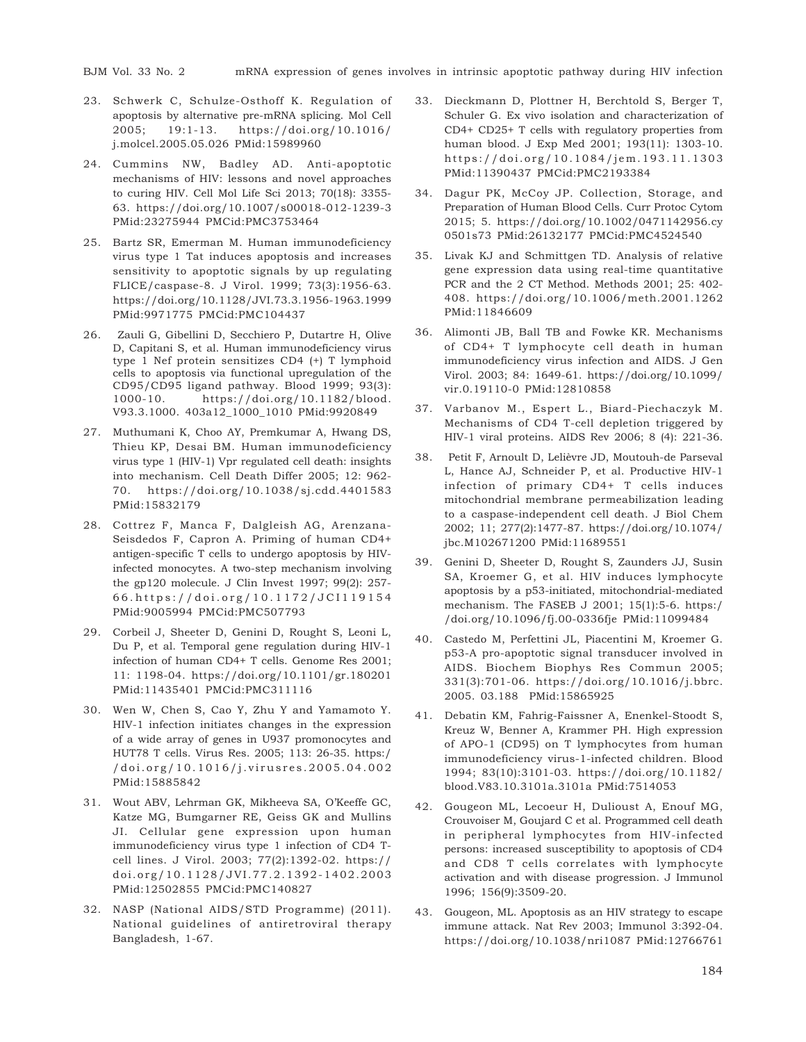BJM Vol. 33 No. 2 mRNA expression of genes involves in intrinsic apoptotic pathway during HIV infection

- 23. Schwerk C, Schulze-Osthoff K. Regulation of apoptosis by alternative pre-mRNA splicing. Mol Cell 2005; 19:1-13. https://doi.org/10.1016/ j.molcel.2005.05.026 PMid:15989960
- 24. Cummins NW, Badley AD. Anti-apoptotic mechanisms of HIV: lessons and novel approaches to curing HIV. Cell Mol Life Sci 2013; 70(18): 3355- 63. https://doi.org/10.1007/s00018-012-1239-3 PMid:23275944 PMCid:PMC3753464
- 25. Bartz SR, Emerman M. Human immunodeficiency virus type 1 Tat induces apoptosis and increases sensitivity to apoptotic signals by up regulating FLICE/caspase-8. J Virol. 1999; 73(3):1956-63. https://doi.org/10.1128/JVI.73.3.1956-1963.1999 PMid:9971775 PMCid:PMC104437
- 26. Zauli G, Gibellini D, Secchiero P, Dutartre H, Olive D, Capitani S, et al. Human immunodeficiency virus type 1 Nef protein sensitizes CD4 (+) T lymphoid cells to apoptosis via functional upregulation of the CD95/CD95 ligand pathway. Blood 1999; 93(3): 1000-10. https://doi.org/10.1182/blood. V93.3.1000. 403a12\_1000\_1010 PMid:9920849
- 27. Muthumani K, Choo AY, Premkumar A, Hwang DS, Thieu KP, Desai BM. Human immunodeficiency virus type 1 (HIV-1) Vpr regulated cell death: insights into mechanism. Cell Death Differ 2005; 12: 962- 70. https://doi.org/10.1038/sj.cdd.4401583 PMid:15832179
- 28. Cottrez F, Manca F, Dalgleish AG, Arenzana-Seisdedos F, Capron A. Priming of human CD4+ antigen-specific T cells to undergo apoptosis by HIVinfected monocytes. A two-step mechanism involving the gp120 molecule. J Clin Invest 1997; 99(2): 257- 66. https://doi.org/10.1172/JCI119154 PMid:9005994 PMCid:PMC507793
- 29. Corbeil J, Sheeter D, Genini D, Rought S, Leoni L, Du P, et al. Temporal gene regulation during HIV-1 infection of human CD4+ T cells. Genome Res 2001; 11: 1198-04. https://doi.org/10.1101/gr.180201 PMid:11435401 PMCid:PMC311116
- 30. Wen W, Chen S, Cao Y, Zhu Y and Yamamoto Y. HIV-1 infection initiates changes in the expression of a wide array of genes in U937 promonocytes and HUT78 T cells. Virus Res. 2005; 113: 26-35. https:/ /doi.org/10.1016/j.virusres.2005.04.002 PMid:15885842
- 31. Wout ABV, Lehrman GK, Mikheeva SA, O'Keeffe GC, Katze MG, Bumgarner RE, Geiss GK and Mullins JI. Cellular gene expression upon human immunodeficiency virus type 1 infection of CD4 Tcell lines. J Virol. 2003; 77(2):1392-02. https:// doi.org/10.1128/JVI.77.2.1392-1402.2003 PMid:12502855 PMCid:PMC140827
- 32. NASP (National AIDS/STD Programme) (2011). National guidelines of antiretroviral therapy Bangladesh, 1-67.
- 33. Dieckmann D, Plottner H, Berchtold S, Berger T, Schuler G. Ex vivo isolation and characterization of CD4+ CD25+ T cells with regulatory properties from human blood. J Exp Med 2001; 193(11): 1303-10. https://doi.org/10.1084/jem.193.11.1303 PMid:11390437 PMCid:PMC2193384
- 34. Dagur PK, McCoy JP. Collection, Storage, and Preparation of Human Blood Cells. Curr Protoc Cytom 2015; 5. https://doi.org/10.1002/0471142956.cy 0501s73 PMid:26132177 PMCid:PMC4524540
- 35. Livak KJ and Schmittgen TD. Analysis of relative gene expression data using real-time quantitative PCR and the 2 CT Method. Methods 2001; 25: 402- 408. https://doi.org/10.1006/meth.2001.1262 PMid:11846609
- 36. Alimonti JB, Ball TB and Fowke KR. Mechanisms of CD4+ T lymphocyte cell death in human immunodeficiency virus infection and AIDS. J Gen Virol. 2003; 84: 1649-61. https://doi.org/10.1099/ vir.0.19110-0 PMid:12810858
- 37. Varbanov M., Espert L., Biard-Piechaczyk M. Mechanisms of CD4 T-cell depletion triggered by HIV-1 viral proteins. AIDS Rev 2006; 8 (4): 221-36.
- 38. Petit F, Arnoult D, Lelièvre JD, Moutouh-de Parseval L, Hance AJ, Schneider P, et al. Productive HIV-1 infection of primary CD4+ T cells induces mitochondrial membrane permeabilization leading to a caspase-independent cell death. J Biol Chem 2002; 11; 277(2):1477-87. https://doi.org/10.1074/ jbc.M102671200 PMid:11689551
- 39. Genini D, Sheeter D, Rought S, Zaunders JJ, Susin SA, Kroemer G, et al. HIV induces lymphocyte apoptosis by a p53-initiated, mitochondrial-mediated mechanism. The FASEB J 2001; 15(1):5-6. https:/ /doi.org/10.1096/fj.00-0336fje PMid:11099484
- 40. Castedo M, Perfettini JL, Piacentini M, Kroemer G. p53-A pro-apoptotic signal transducer involved in AIDS. Biochem Biophys Res Commun 2005; 331(3):701-06. https://doi.org/10.1016/j.bbrc. 2005. 03.188 PMid:15865925
- 41. Debatin KM, Fahrig-Faissner A, Enenkel-Stoodt S, Kreuz W, Benner A, Krammer PH. High expression of APO-1 (CD95) on T lymphocytes from human immunodeficiency virus-1-infected children. Blood 1994; 83(10):3101-03. https://doi.org/10.1182/ blood.V83.10.3101a.3101a PMid:7514053
- 42. Gougeon ML, Lecoeur H, Dulioust A, Enouf MG, Crouvoiser M, Goujard C et al. Programmed cell death in peripheral lymphocytes from HIV-infected persons: increased susceptibility to apoptosis of CD4 and CD8 T cells correlates with lymphocyte activation and with disease progression. J Immunol 1996; 156(9):3509-20.
- 43. Gougeon, ML. Apoptosis as an HIV strategy to escape immune attack. Nat Rev 2003; Immunol 3:392-04. https://doi.org/10.1038/nri1087 PMid:12766761